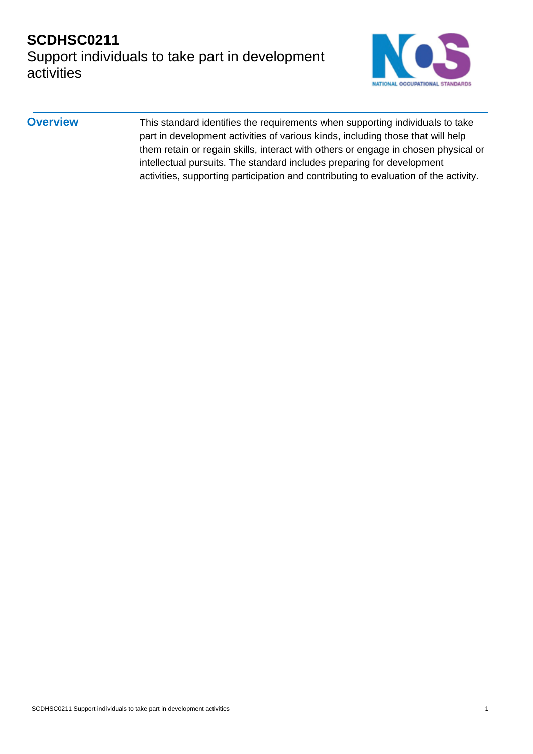## **SCDHSC0211** Support individuals to take part in development activities



**Overview** This standard identifies the requirements when supporting individuals to take part in development activities of various kinds, including those that will help them retain or regain skills, interact with others or engage in chosen physical or intellectual pursuits. The standard includes preparing for development activities, supporting participation and contributing to evaluation of the activity.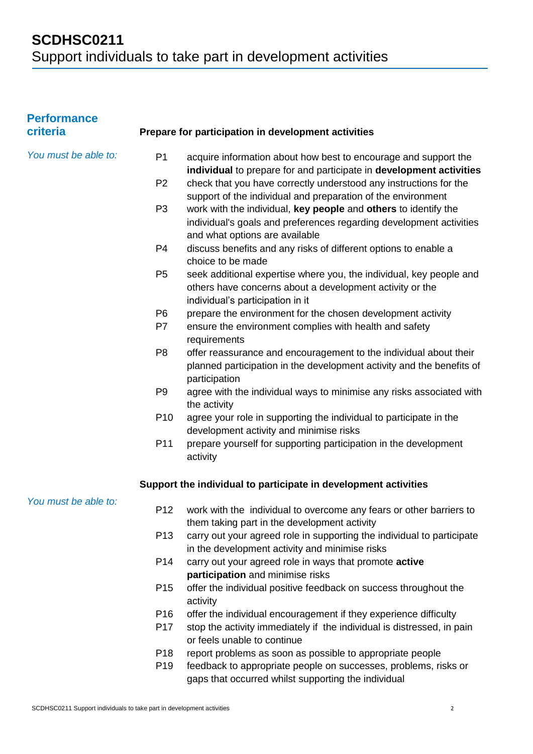| <b>Performance</b><br>criteria |                      | Prepare for participation in development activities                                                                                                                      |
|--------------------------------|----------------------|--------------------------------------------------------------------------------------------------------------------------------------------------------------------------|
| You must be able to:           | P <sub>1</sub>       | acquire information about how best to encourage and support the<br>individual to prepare for and participate in development activities                                   |
|                                | P <sub>2</sub>       | check that you have correctly understood any instructions for the<br>support of the individual and preparation of the environment                                        |
|                                | P <sub>3</sub>       | work with the individual, key people and others to identify the<br>individual's goals and preferences regarding development activities<br>and what options are available |
|                                | P <sub>4</sub>       | discuss benefits and any risks of different options to enable a<br>choice to be made                                                                                     |
|                                | P <sub>5</sub>       | seek additional expertise where you, the individual, key people and<br>others have concerns about a development activity or the<br>individual's participation in it      |
|                                | P <sub>6</sub><br>P7 | prepare the environment for the chosen development activity<br>ensure the environment complies with health and safety<br>requirements                                    |
|                                | P <sub>8</sub>       | offer reassurance and encouragement to the individual about their<br>planned participation in the development activity and the benefits of<br>participation              |
|                                | P <sub>9</sub>       | agree with the individual ways to minimise any risks associated with<br>the activity                                                                                     |
|                                | P <sub>10</sub>      | agree your role in supporting the individual to participate in the<br>development activity and minimise risks                                                            |
|                                | P <sub>11</sub>      | prepare yourself for supporting participation in the development<br>activity                                                                                             |
|                                |                      | Support the individual to participate in development activities                                                                                                          |
| You must be able to:           |                      | P12 work with the individual to overcome any fears or other barriers to<br>them taking part in the development activity                                                  |
|                                | P <sub>13</sub>      | carry out your agreed role in supporting the individual to participate<br>in the development activity and minimise risks                                                 |
|                                | P <sub>14</sub>      | carry out your agreed role in ways that promote active<br>participation and minimise risks                                                                               |
|                                | P <sub>15</sub>      | offer the individual positive feedback on success throughout the<br>activity                                                                                             |
|                                | P <sub>16</sub>      | offer the individual encouragement if they experience difficulty                                                                                                         |
|                                | P <sub>17</sub>      | stop the activity immediately if the individual is distressed, in pain<br>or feels unable to continue                                                                    |
|                                | P <sub>18</sub>      | report problems as soon as possible to appropriate people                                                                                                                |
|                                | P <sub>19</sub>      | feedback to appropriate people on successes, problems, risks or<br>gaps that occurred whilst supporting the individual                                                   |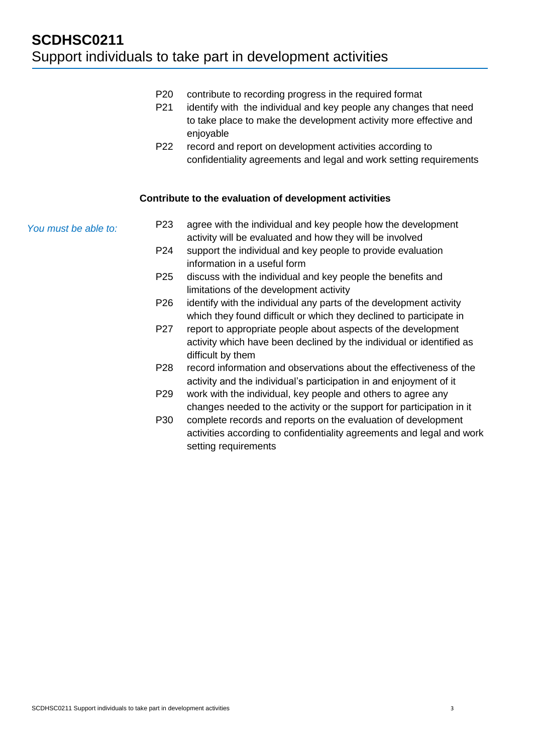- P20 contribute to recording progress in the required format
- P21 identify with the individual and key people any changes that need to take place to make the development activity more effective and enjoyable
- P22 record and report on development activities according to confidentiality agreements and legal and work setting requirements

#### **Contribute to the evaluation of development activities**

*You must be able to:*

- P23 agree with the individual and key people how the development activity will be evaluated and how they will be involved
- P24 support the individual and key people to provide evaluation information in a useful form
- P25 discuss with the individual and key people the benefits and limitations of the development activity
- P26 identify with the individual any parts of the development activity which they found difficult or which they declined to participate in
- P27 report to appropriate people about aspects of the development activity which have been declined by the individual or identified as difficult by them
- P28 record information and observations about the effectiveness of the activity and the individual's participation in and enjoyment of it
- P29 work with the individual, key people and others to agree any changes needed to the activity or the support for participation in it
- P30 complete records and reports on the evaluation of development activities according to confidentiality agreements and legal and work setting requirements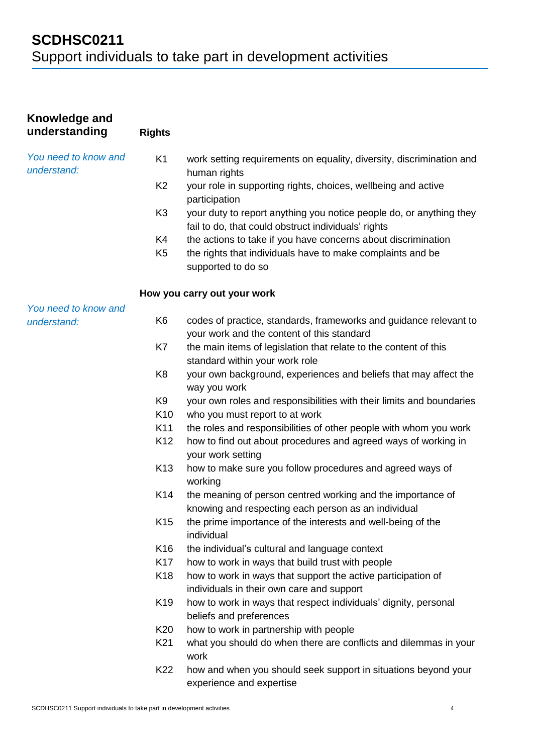| Knowledge and<br>understanding      | <b>Rights</b>   |                                                                                                                            |
|-------------------------------------|-----------------|----------------------------------------------------------------------------------------------------------------------------|
| You need to know and<br>understand: | K <sub>1</sub>  | work setting requirements on equality, diversity, discrimination and<br>human rights                                       |
|                                     | K <sub>2</sub>  | your role in supporting rights, choices, wellbeing and active<br>participation                                             |
|                                     | K <sub>3</sub>  | your duty to report anything you notice people do, or anything they<br>fail to do, that could obstruct individuals' rights |
|                                     | K4              | the actions to take if you have concerns about discrimination                                                              |
|                                     | K <sub>5</sub>  | the rights that individuals have to make complaints and be                                                                 |
|                                     |                 | supported to do so                                                                                                         |
|                                     |                 | How you carry out your work                                                                                                |
| You need to know and                |                 |                                                                                                                            |
| understand:                         | K <sub>6</sub>  | codes of practice, standards, frameworks and guidance relevant to                                                          |
|                                     |                 | your work and the content of this standard                                                                                 |
|                                     | K7              | the main items of legislation that relate to the content of this                                                           |
|                                     | K <sub>8</sub>  | standard within your work role                                                                                             |
|                                     |                 | your own background, experiences and beliefs that may affect the<br>way you work                                           |
|                                     | K <sub>9</sub>  | your own roles and responsibilities with their limits and boundaries                                                       |
|                                     | K <sub>10</sub> | who you must report to at work                                                                                             |
|                                     | K11             | the roles and responsibilities of other people with whom you work                                                          |
|                                     | K <sub>12</sub> | how to find out about procedures and agreed ways of working in<br>your work setting                                        |
|                                     | K <sub>13</sub> | how to make sure you follow procedures and agreed ways of<br>working                                                       |
|                                     | K14             | the meaning of person centred working and the importance of<br>knowing and respecting each person as an individual         |
|                                     | K <sub>15</sub> | the prime importance of the interests and well-being of the<br>individual                                                  |
|                                     | K <sub>16</sub> | the individual's cultural and language context                                                                             |
|                                     | K17             | how to work in ways that build trust with people                                                                           |
|                                     | K18             | how to work in ways that support the active participation of<br>individuals in their own care and support                  |
|                                     | K <sub>19</sub> | how to work in ways that respect individuals' dignity, personal                                                            |
|                                     |                 | beliefs and preferences                                                                                                    |
|                                     | K <sub>20</sub> | how to work in partnership with people                                                                                     |
|                                     | K21             | what you should do when there are conflicts and dilemmas in your<br>work                                                   |
|                                     | K22             | how and when you should seek support in situations beyond your<br>experience and expertise                                 |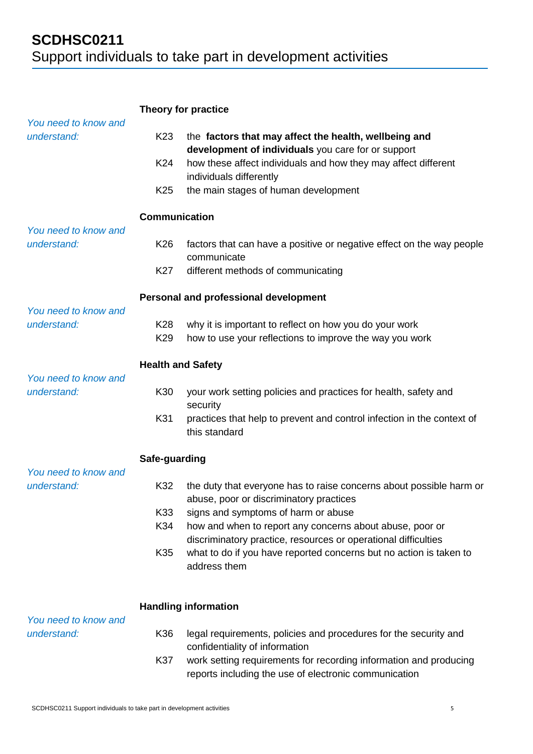|                                     | Theory for practice                       |                                                                                                                                                                                                                                                                                     |
|-------------------------------------|-------------------------------------------|-------------------------------------------------------------------------------------------------------------------------------------------------------------------------------------------------------------------------------------------------------------------------------------|
| You need to know and<br>understand: | K <sub>23</sub><br>K24<br>K <sub>25</sub> | the factors that may affect the health, wellbeing and<br>development of individuals you care for or support<br>how these affect individuals and how they may affect different<br>individuals differently<br>the main stages of human development                                    |
|                                     | <b>Communication</b>                      |                                                                                                                                                                                                                                                                                     |
| You need to know and<br>understand: | K <sub>26</sub>                           | factors that can have a positive or negative effect on the way people<br>communicate                                                                                                                                                                                                |
|                                     | K27                                       | different methods of communicating                                                                                                                                                                                                                                                  |
| You need to know and                |                                           | Personal and professional development                                                                                                                                                                                                                                               |
| understand:                         | K <sub>28</sub><br>K <sub>29</sub>        | why it is important to reflect on how you do your work<br>how to use your reflections to improve the way you work                                                                                                                                                                   |
| You need to know and                | <b>Health and Safety</b>                  |                                                                                                                                                                                                                                                                                     |
| understand:                         | K30                                       | your work setting policies and practices for health, safety and<br>security                                                                                                                                                                                                         |
|                                     | K31                                       | practices that help to prevent and control infection in the context of<br>this standard                                                                                                                                                                                             |
|                                     | Safe-guarding                             |                                                                                                                                                                                                                                                                                     |
| You need to know and<br>understand: | K32<br>K33<br>K34                         | the duty that everyone has to raise concerns about possible harm or<br>abuse, poor or discriminatory practices<br>signs and symptoms of harm or abuse<br>how and when to report any concerns about abuse, poor or<br>discriminatory practice, resources or operational difficulties |
|                                     | K35                                       | what to do if you have reported concerns but no action is taken to<br>address them                                                                                                                                                                                                  |
| You need to know and                |                                           | <b>Handling information</b>                                                                                                                                                                                                                                                         |
| understand:                         | K36                                       | legal requirements, policies and procedures for the security and<br>confidentiality of information                                                                                                                                                                                  |
|                                     | K37                                       | work setting requirements for recording information and producing<br>reports including the use of electronic communication                                                                                                                                                          |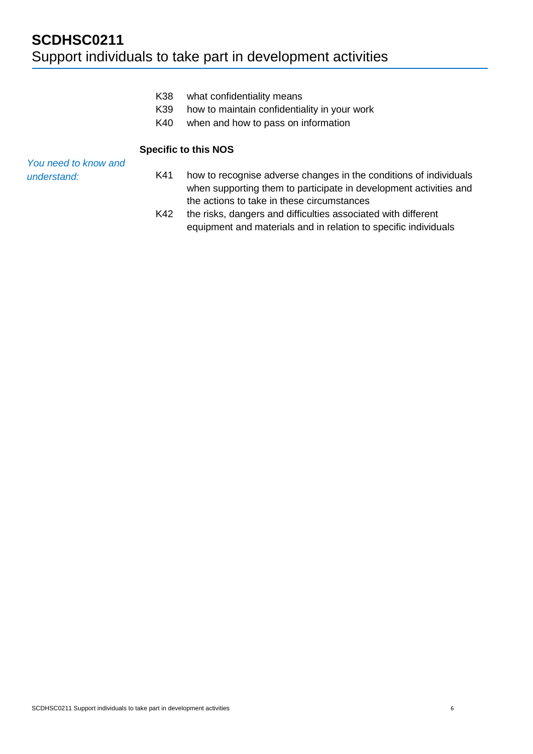- K38 what confidentiality means
- K39 how to maintain confidentiality in your work
- K40 when and how to pass on information

#### **Specific to this NOS**

| You need to know and |     |                                                                   |
|----------------------|-----|-------------------------------------------------------------------|
| understand:          | K41 | how to recognise adverse changes in the conditions of individuals |
|                      |     | when supporting them to participate in development activities and |
|                      |     | the actions to take in these circumstances                        |
|                      | K42 | the risks, dangers and difficulties associated with different     |
|                      |     | equipment and materials and in relation to specific individuals   |

SCDHSC0211 Support individuals to take part in development activities 6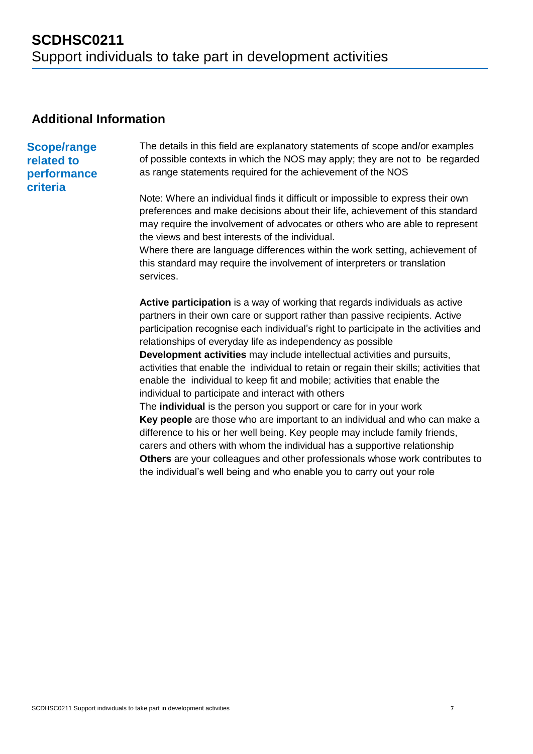### **Additional Information**

### **Scope/range related to performance criteria**

The details in this field are explanatory statements of scope and/or examples of possible contexts in which the NOS may apply; they are not to be regarded as range statements required for the achievement of the NOS

Note: Where an individual finds it difficult or impossible to express their own preferences and make decisions about their life, achievement of this standard may require the involvement of advocates or others who are able to represent the views and best interests of the individual.

Where there are language differences within the work setting, achievement of this standard may require the involvement of interpreters or translation services.

**Active participation** is a way of working that regards individuals as active partners in their own care or support rather than passive recipients. Active participation recognise each individual's right to participate in the activities and relationships of everyday life as independency as possible

**Development activities** may include intellectual activities and pursuits, activities that enable the individual to retain or regain their skills; activities that enable the individual to keep fit and mobile; activities that enable the individual to participate and interact with others

The **individual** is the person you support or care for in your work **Key people** are those who are important to an individual and who can make a difference to his or her well being. Key people may include family friends, carers and others with whom the individual has a supportive relationship **Others** are your colleagues and other professionals whose work contributes to the individual's well being and who enable you to carry out your role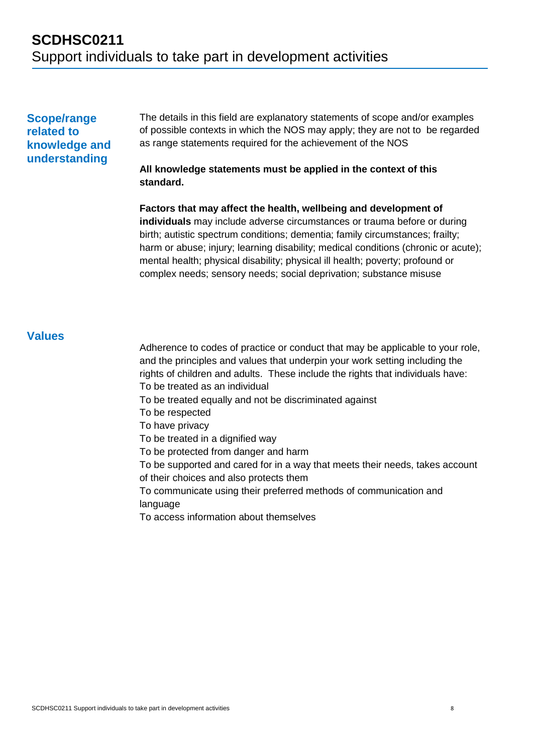#### **Scope/range related to knowledge and understanding**

The details in this field are explanatory statements of scope and/or examples of possible contexts in which the NOS may apply; they are not to be regarded as range statements required for the achievement of the NOS

#### **All knowledge statements must be applied in the context of this standard.**

**Factors that may affect the health, wellbeing and development of individuals** may include adverse circumstances or trauma before or during birth; autistic spectrum conditions; dementia; family circumstances; frailty; harm or abuse; injury; learning disability; medical conditions (chronic or acute); mental health; physical disability; physical ill health; poverty; profound or complex needs; sensory needs; social deprivation; substance misuse

#### **Values**

Adherence to codes of practice or conduct that may be applicable to your role, and the principles and values that underpin your work setting including the rights of children and adults. These include the rights that individuals have: To be treated as an individual

To be treated equally and not be discriminated against

To be respected

To have privacy

To be treated in a dignified way

To be protected from danger and harm

To be supported and cared for in a way that meets their needs, takes account of their choices and also protects them

To communicate using their preferred methods of communication and language

To access information about themselves